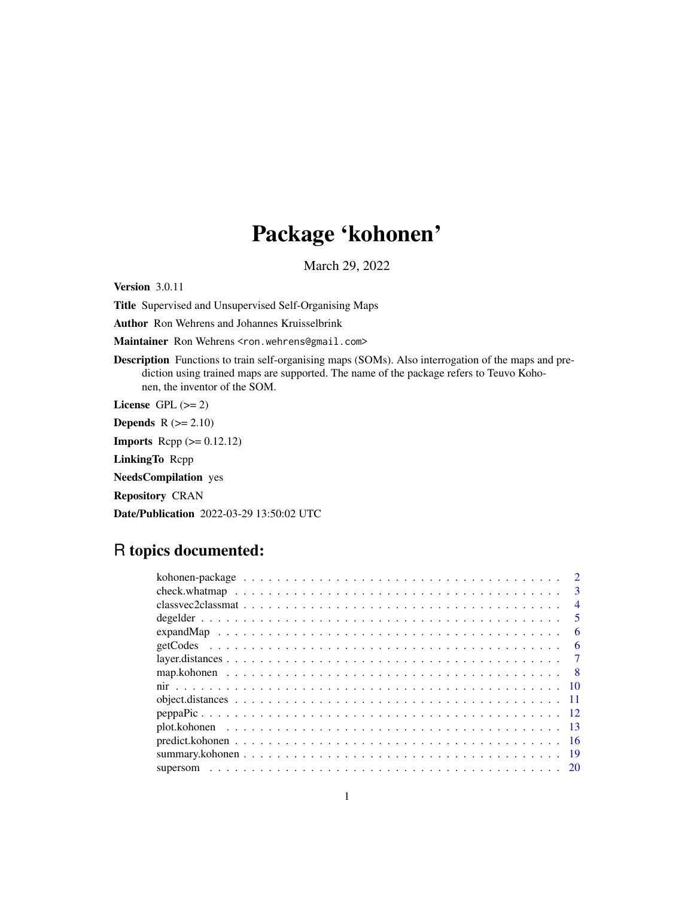# Package 'kohonen'

March 29, 2022

Version 3.0.11

Title Supervised and Unsupervised Self-Organising Maps

Author Ron Wehrens and Johannes Kruisselbrink

Maintainer Ron Wehrens <ron.wehrens@gmail.com>

Description Functions to train self-organising maps (SOMs). Also interrogation of the maps and prediction using trained maps are supported. The name of the package refers to Teuvo Kohonen, the inventor of the SOM.

License GPL  $(>= 2)$ 

**Depends**  $R$  ( $>= 2.10$ )

**Imports** Rcpp  $(>= 0.12.12)$ 

LinkingTo Rcpp

NeedsCompilation yes

Repository CRAN

Date/Publication 2022-03-29 13:50:02 UTC

# R topics documented:

|  | $\mathcal{D}$           |
|--|-------------------------|
|  | $\mathbf{3}$            |
|  | $\overline{4}$          |
|  | $\overline{\mathbf{z}}$ |
|  | 6                       |
|  | 6                       |
|  |                         |
|  |                         |
|  |                         |
|  |                         |
|  |                         |
|  |                         |
|  |                         |
|  | -19                     |
|  |                         |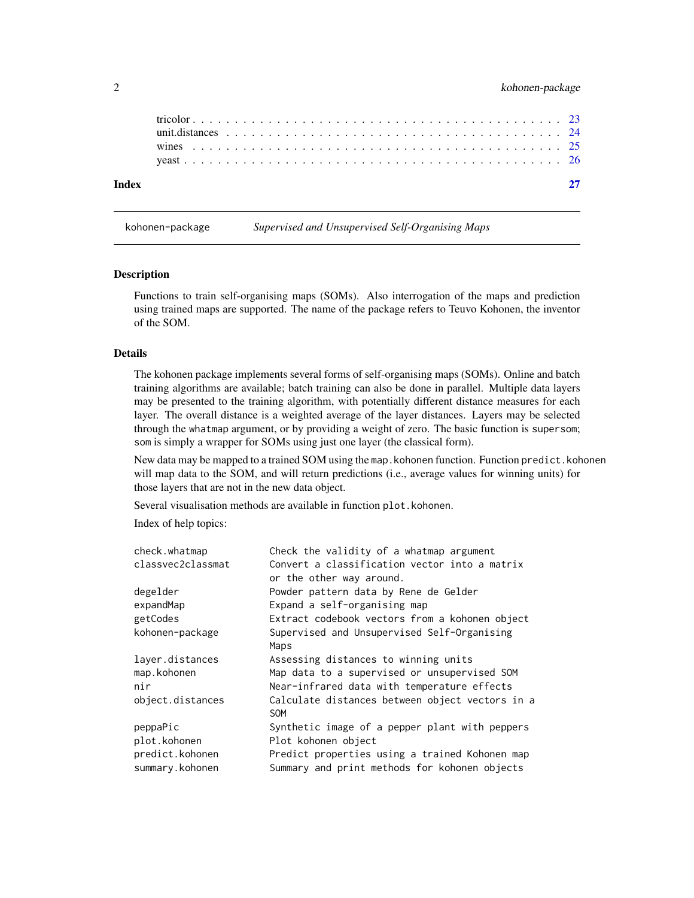<span id="page-1-0"></span>

| Index |  |  |  |  |  |  |  |  |  |  |  |  |  |  |  |  |  |  |  |
|-------|--|--|--|--|--|--|--|--|--|--|--|--|--|--|--|--|--|--|--|
|       |  |  |  |  |  |  |  |  |  |  |  |  |  |  |  |  |  |  |  |
|       |  |  |  |  |  |  |  |  |  |  |  |  |  |  |  |  |  |  |  |
|       |  |  |  |  |  |  |  |  |  |  |  |  |  |  |  |  |  |  |  |

kohonen-package *Supervised and Unsupervised Self-Organising Maps*

# **Description**

Functions to train self-organising maps (SOMs). Also interrogation of the maps and prediction using trained maps are supported. The name of the package refers to Teuvo Kohonen, the inventor of the SOM.

#### Details

The kohonen package implements several forms of self-organising maps (SOMs). Online and batch training algorithms are available; batch training can also be done in parallel. Multiple data layers may be presented to the training algorithm, with potentially different distance measures for each layer. The overall distance is a weighted average of the layer distances. Layers may be selected through the whatmap argument, or by providing a weight of zero. The basic function is supersom; som is simply a wrapper for SOMs using just one layer (the classical form).

New data may be mapped to a trained SOM using the map.kohonen function. Function predict.kohonen will map data to the SOM, and will return predictions (i.e., average values for winning units) for those layers that are not in the new data object.

Several visualisation methods are available in function plot.kohonen.

Index of help topics:

| check.whatmap     | Check the validity of a whatmap argument                      |
|-------------------|---------------------------------------------------------------|
| classvec2classmat | Convert a classification vector into a matrix                 |
|                   | or the other way around.                                      |
| degelder          | Powder pattern data by Rene de Gelder                         |
| expandMap         | Expand a self-organising map                                  |
| getCodes          | Extract codebook vectors from a kohonen object                |
| kohonen-package   | Supervised and Unsupervised Self-Organising                   |
|                   | Maps                                                          |
| layer.distances   | Assessing distances to winning units                          |
| map.kohonen       | Map data to a supervised or unsupervised SOM                  |
| nir               | Near-infrared data with temperature effects                   |
| object.distances  | Calculate distances between object vectors in a<br><b>SOM</b> |
| peppaPic          | Synthetic image of a pepper plant with peppers                |
| plot.kohonen      | Plot kohonen object                                           |
| predict.kohonen   | Predict properties using a trained Kohonen map                |
| summary.kohonen   | Summary and print methods for kohonen objects                 |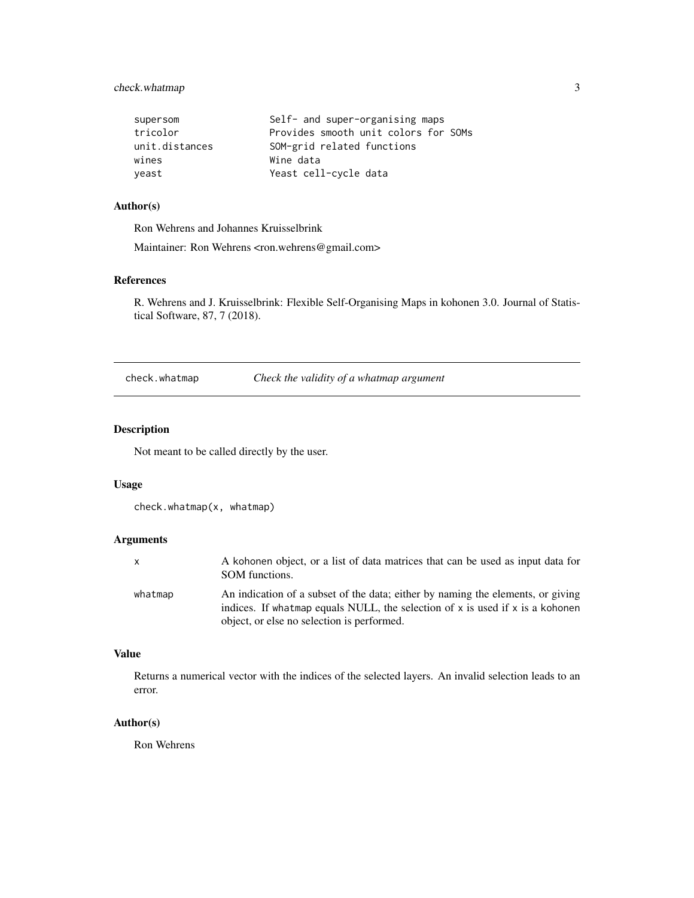# <span id="page-2-0"></span>check.whatmap 3

| supersom       | Self- and super-organising maps      |
|----------------|--------------------------------------|
| tricolor       | Provides smooth unit colors for SOMs |
| unit.distances | SOM-grid related functions           |
| wines          | Wine data                            |
| veast          | Yeast cell-cycle data                |

# Author(s)

Ron Wehrens and Johannes Kruisselbrink

Maintainer: Ron Wehrens <ron.wehrens@gmail.com>

# References

R. Wehrens and J. Kruisselbrink: Flexible Self-Organising Maps in kohonen 3.0. Journal of Statistical Software, 87, 7 (2018).

check.whatmap *Check the validity of a whatmap argument*

# Description

Not meant to be called directly by the user.

#### Usage

```
check.whatmap(x, whatmap)
```
# Arguments

| x.      | A kohonen object, or a list of data matrices that can be used as input data for<br>SOM functions.                                                                     |
|---------|-----------------------------------------------------------------------------------------------------------------------------------------------------------------------|
| whatmap | An indication of a subset of the data; either by naming the elements, or giving<br>indices. If what map equals NULL, the selection of $x$ is used if $x$ is a kohonen |
|         | object, or else no selection is performed.                                                                                                                            |

# Value

Returns a numerical vector with the indices of the selected layers. An invalid selection leads to an error.

# Author(s)

Ron Wehrens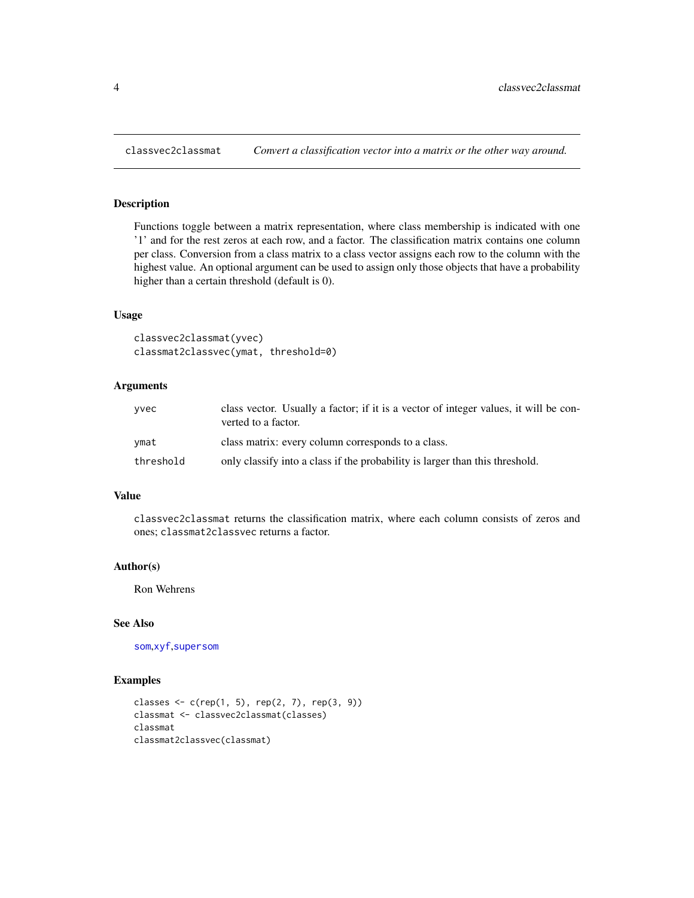<span id="page-3-1"></span><span id="page-3-0"></span>

Functions toggle between a matrix representation, where class membership is indicated with one '1' and for the rest zeros at each row, and a factor. The classification matrix contains one column per class. Conversion from a class matrix to a class vector assigns each row to the column with the highest value. An optional argument can be used to assign only those objects that have a probability higher than a certain threshold (default is 0).

# Usage

```
classvec2classmat(yvec)
classmat2classvec(ymat, threshold=0)
```
# Arguments

| vvec      | class vector. Usually a factor; if it is a vector of integer values, it will be con-<br>verted to a factor. |
|-----------|-------------------------------------------------------------------------------------------------------------|
| vmat      | class matrix: every column corresponds to a class.                                                          |
| threshold | only classify into a class if the probability is larger than this threshold.                                |

# Value

classvec2classmat returns the classification matrix, where each column consists of zeros and ones; classmat2classvec returns a factor.

#### Author(s)

Ron Wehrens

# See Also

[som](#page-19-1),[xyf](#page-19-1),[supersom](#page-19-2)

```
classes \leq c (rep(1, 5), rep(2, 7), rep(3, 9))
classmat <- classvec2classmat(classes)
classmat
classmat2classvec(classmat)
```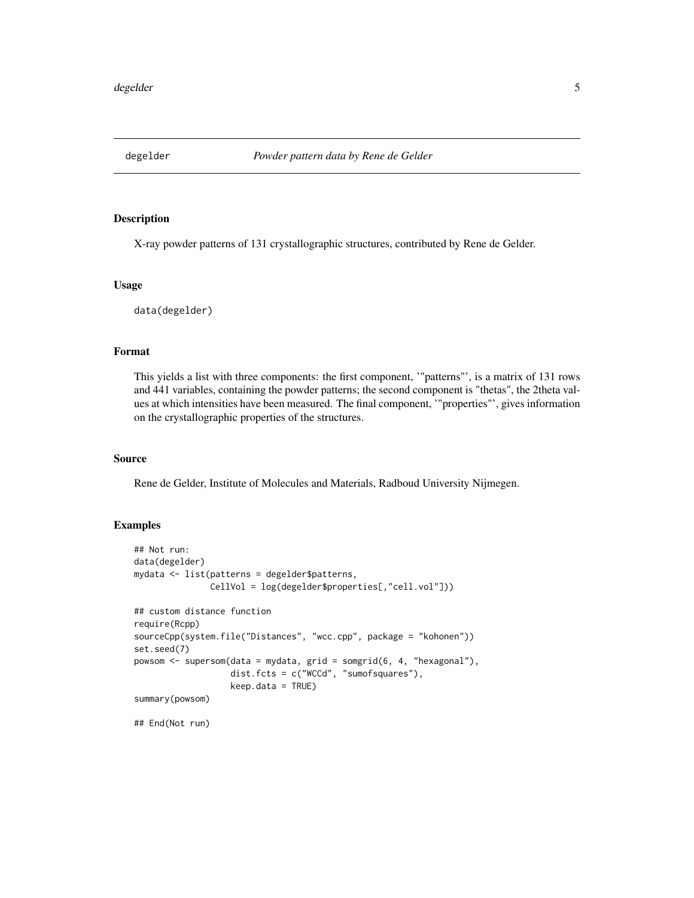<span id="page-4-0"></span>

X-ray powder patterns of 131 crystallographic structures, contributed by Rene de Gelder.

#### Usage

data(degelder)

# Format

This yields a list with three components: the first component, '"patterns"', is a matrix of 131 rows and 441 variables, containing the powder patterns; the second component is "thetas", the 2theta values at which intensities have been measured. The final component, '"properties"', gives information on the crystallographic properties of the structures.

# Source

Rene de Gelder, Institute of Molecules and Materials, Radboud University Nijmegen.

# Examples

```
## Not run:
data(degelder)
mydata <- list(patterns = degelder$patterns,
               CellVol = log(degelder$properties[,"cell.vol"]))
## custom distance function
require(Rcpp)
sourceCpp(system.file("Distances", "wcc.cpp", package = "kohonen"))
set.seed(7)
powsom <- supersom(data = mydata, grid = somgrid(6, 4, "hexagonal"),
                   dist.fcts = c("WCCd", "sumofsquares"),
                   keep.data = TRUE)
summary(powsom)
```
## End(Not run)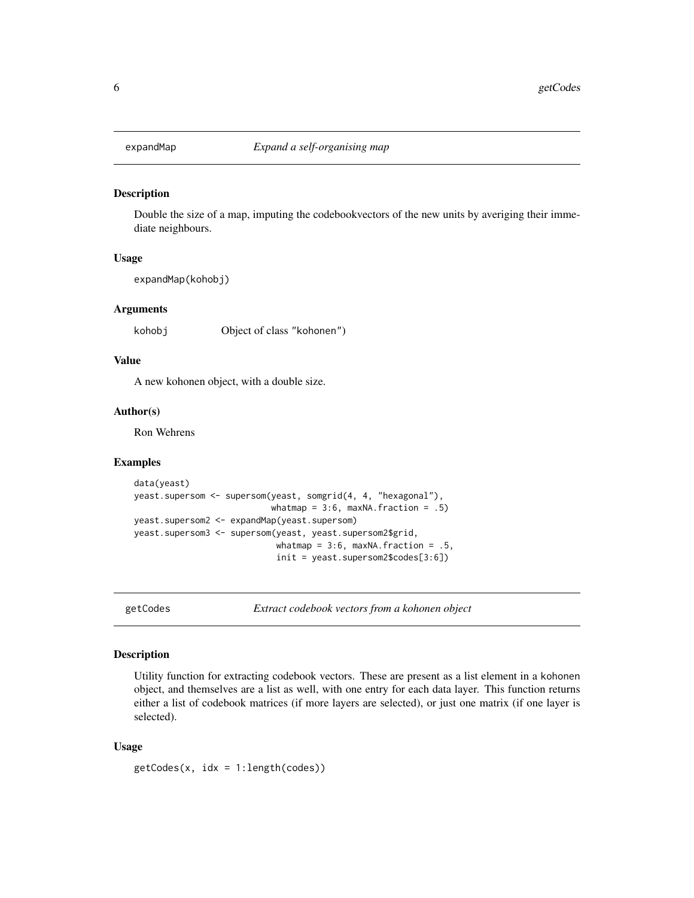<span id="page-5-0"></span>

Double the size of a map, imputing the codebookvectors of the new units by averiging their immediate neighbours.

#### Usage

expandMap(kohobj)

# Arguments

kohobj Object of class "kohonen")

# Value

A new kohonen object, with a double size.

# Author(s)

Ron Wehrens

# Examples

```
data(yeast)
yeast.supersom <- supersom(yeast, somgrid(4, 4, "hexagonal"),
                           whatmap = 3:6, maxNA.fraction = .5)
yeast.supersom2 <- expandMap(yeast.supersom)
yeast.supersom3 <- supersom(yeast, yeast.supersom2$grid,
                            whatmap = 3:6, maxNA.fraction = .5,
                            init = yeast.supersom2$codes[3:6])
```
getCodes *Extract codebook vectors from a kohonen object*

# Description

Utility function for extracting codebook vectors. These are present as a list element in a kohonen object, and themselves are a list as well, with one entry for each data layer. This function returns either a list of codebook matrices (if more layers are selected), or just one matrix (if one layer is selected).

## Usage

getCodes(x, idx = 1:length(codes))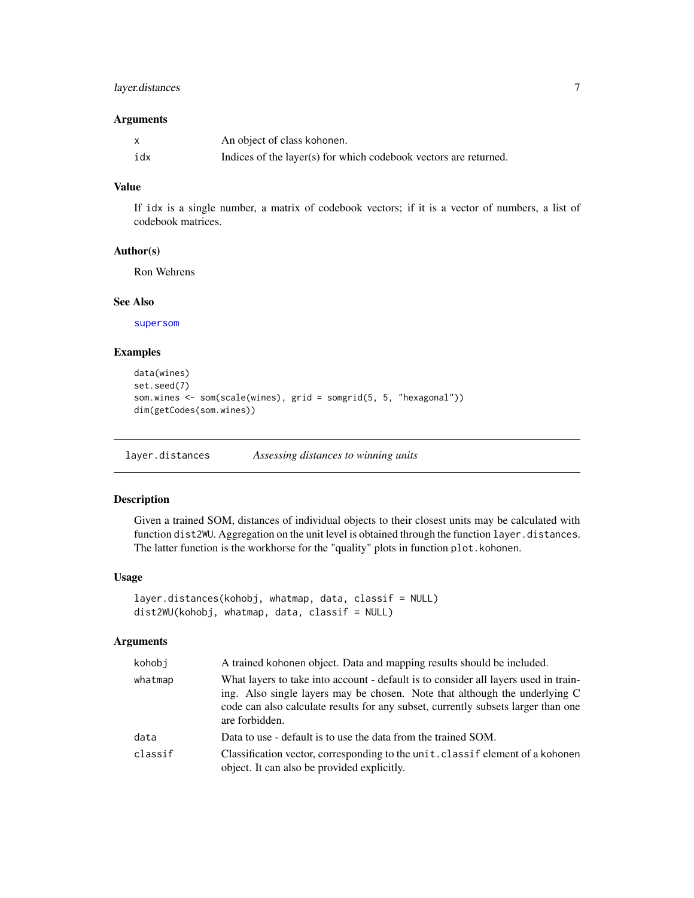# <span id="page-6-0"></span>layer.distances 7

# Arguments

| X   | An object of class kohonen.                                      |
|-----|------------------------------------------------------------------|
| idx | Indices of the layer(s) for which codebook vectors are returned. |

# Value

If idx is a single number, a matrix of codebook vectors; if it is a vector of numbers, a list of codebook matrices.

#### Author(s)

Ron Wehrens

#### See Also

[supersom](#page-19-2)

# Examples

```
data(wines)
set.seed(7)
som.wines <- som(scale(wines), grid = somgrid(5, 5, "hexagonal"))
dim(getCodes(som.wines))
```
layer.distances *Assessing distances to winning units*

# Description

Given a trained SOM, distances of individual objects to their closest units may be calculated with function dist2WU. Aggregation on the unit level is obtained through the function layer.distances. The latter function is the workhorse for the "quality" plots in function plot.kohonen.

# Usage

```
layer.distances(kohobj, whatmap, data, classif = NULL)
dist2WU(kohobj, whatmap, data, classif = NULL)
```
# Arguments

| kohobi  | A trained kohonen object. Data and mapping results should be included.                                                                                                                                                                                                   |
|---------|--------------------------------------------------------------------------------------------------------------------------------------------------------------------------------------------------------------------------------------------------------------------------|
| whatmap | What layers to take into account - default is to consider all layers used in train-<br>ing. Also single layers may be chosen. Note that although the underlying C<br>code can also calculate results for any subset, currently subsets larger than one<br>are forbidden. |
| data    | Data to use - default is to use the data from the trained SOM.                                                                                                                                                                                                           |
| classif | Classification vector, corresponding to the unit. class if element of a kohonen<br>object. It can also be provided explicitly.                                                                                                                                           |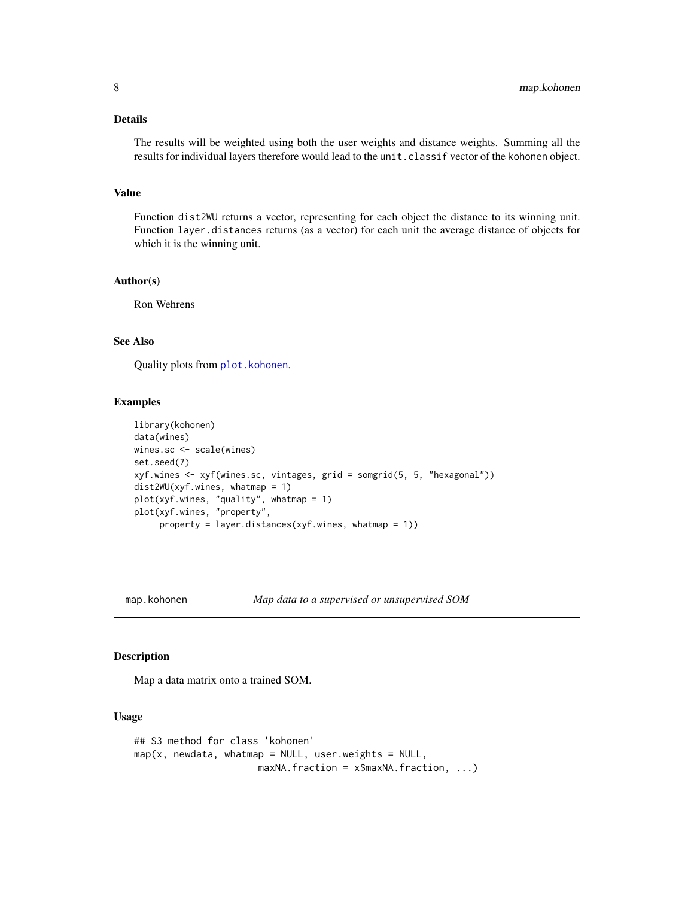# <span id="page-7-0"></span>Details

The results will be weighted using both the user weights and distance weights. Summing all the results for individual layers therefore would lead to the unit.classif vector of the kohonen object.

# Value

Function dist2WU returns a vector, representing for each object the distance to its winning unit. Function layer.distances returns (as a vector) for each unit the average distance of objects for which it is the winning unit.

#### Author(s)

Ron Wehrens

# See Also

Quality plots from [plot.kohonen](#page-12-1).

#### Examples

```
library(kohonen)
data(wines)
wines.sc <- scale(wines)
set.seed(7)
xyf.wines <- xyf(wines.sc, vintages, grid = somgrid(5, 5, "hexagonal"))
dist2WU(xyf.wines, whatmap = 1)
plot(xyf.wines, "quality", whatmap = 1)
plot(xyf.wines, "property",
     property = layer.distances(xyf.wines, whatmap = 1))
```
<span id="page-7-2"></span>map.kohonen *Map data to a supervised or unsupervised SOM*

# <span id="page-7-1"></span>Description

Map a data matrix onto a trained SOM.

#### Usage

```
## S3 method for class 'kohonen'
map(x, newdata, whatmap = NULL, user.weights = NULL,maxNA.fraction = x$maxNA.fraction, ...)
```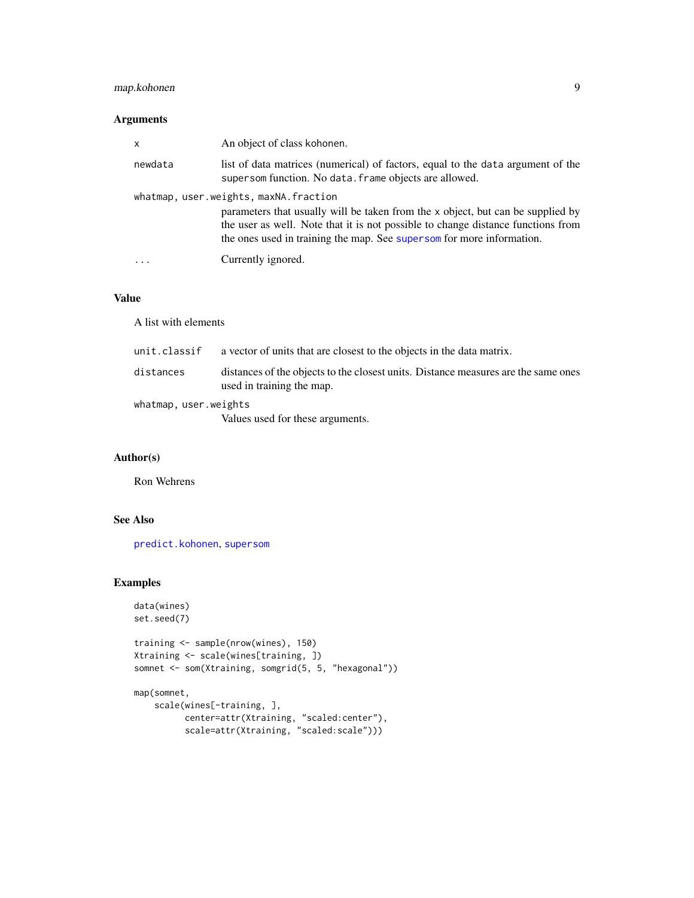# <span id="page-8-0"></span>map.kohonen 9

# Arguments

| X       | An object of class kohonen.                                                                                                                                                                                                                                                           |
|---------|---------------------------------------------------------------------------------------------------------------------------------------------------------------------------------------------------------------------------------------------------------------------------------------|
| newdata | list of data matrices (numerical) of factors, equal to the data argument of the<br>supersom function. No data. frame objects are allowed.                                                                                                                                             |
|         | whatmap, user.weights, maxNA.fraction<br>parameters that usually will be taken from the x object, but can be supplied by<br>the user as well. Note that it is not possible to change distance functions from<br>the ones used in training the map. See supersom for more information. |
| $\cdot$ | Currently ignored.                                                                                                                                                                                                                                                                    |

# Value

A list with elements

| unit.classif          | a vector of units that are closest to the objects in the data matrix.                                           |  |  |  |  |  |
|-----------------------|-----------------------------------------------------------------------------------------------------------------|--|--|--|--|--|
| distances             | distances of the objects to the closest units. Distance measures are the same ones<br>used in training the map. |  |  |  |  |  |
| whatmap, user.weights |                                                                                                                 |  |  |  |  |  |
|                       | Values used for these arguments.                                                                                |  |  |  |  |  |

# Author(s)

Ron Wehrens

# See Also

[predict.kohonen](#page-15-1), [supersom](#page-19-2)

```
data(wines)
set.seed(7)
```

```
training <- sample(nrow(wines), 150)
Xtraining <- scale(wines[training, ])
somnet <- som(Xtraining, somgrid(5, 5, "hexagonal"))
```

```
map(somnet,
   scale(wines[-training, ],
          center=attr(Xtraining, "scaled:center"),
          scale=attr(Xtraining, "scaled:scale")))
```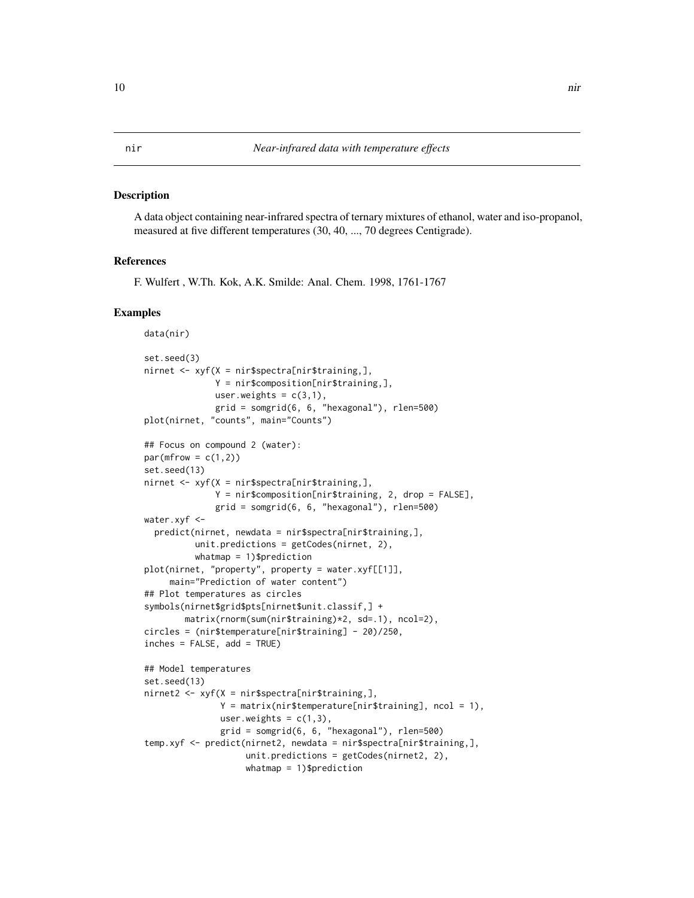<span id="page-9-0"></span>A data object containing near-infrared spectra of ternary mixtures of ethanol, water and iso-propanol, measured at five different temperatures (30, 40, ..., 70 degrees Centigrade).

# References

F. Wulfert , W.Th. Kok, A.K. Smilde: Anal. Chem. 1998, 1761-1767

```
data(nir)
set.seed(3)
nirnet <- xyf(X = nir$spectra[nir$training,],
              Y = nir$composition[nir$training,],
              user.weights = c(3,1),
              grid = somgrid(6, 6, "hexagonal"), rlen=500)
plot(nirnet, "counts", main="Counts")
## Focus on compound 2 (water):
par(mfrow = c(1,2))set.seed(13)
nirnet <- xyf(X = nir$spectra[nir$training,],
              Y = nir$composition[nir$training, 2, drop = FALSE],
              grid = somgrid(6, 6, "hexagonal"), rlen=500)
water.xyf <-
  predict(nirnet, newdata = nir$spectra[nir$training,],
          unit.predictions = getCodes(nirnet, 2),
          whatmap = 1)$prediction
plot(nirnet, "property", property = water.xyf[[1]],
     main="Prediction of water content")
## Plot temperatures as circles
symbols(nirnet$grid$pts[nirnet$unit.classif,] +
       matrix(rnorm(sum(nir$training)*2, sd=.1), ncol=2),
circles = (nir$temperature[nir$training] - 20)/250,
inches = FALSE, add = TRUE)## Model temperatures
set.seed(13)
nirnet2 <- xyf(X = nir$spectra[nir$training,],
               Y = matrix(nir$temperature[mir$training], ncol = 1),user.weights = c(1,3),
               grid = somgrid(6, 6, "hexagonal"), rlen=500)
temp.xyf <- predict(nirnet2, newdata = nir$spectra[nir$training,],
                    unit.predictions = getCodes(nirnet2, 2),
                    whatmap = 1)$prediction
```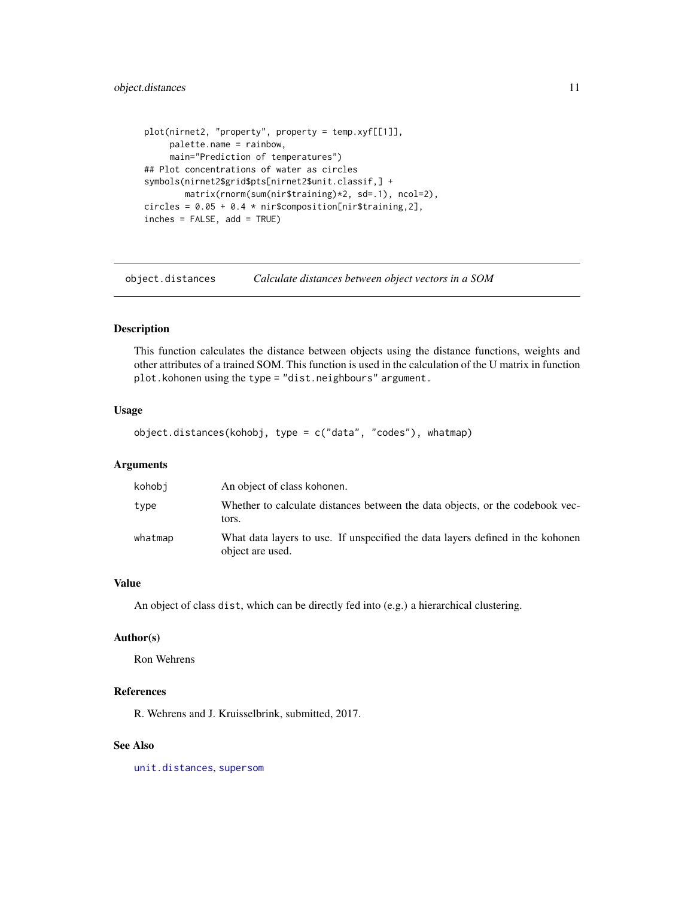```
plot(nirnet2, "property", property = temp.xyf[[1]],
     palette.name = rainbow,
     main="Prediction of temperatures")
## Plot concentrations of water as circles
symbols(nirnet2$grid$pts[nirnet2$unit.classif,] +
       matrix(rnorm(sum(nir$training)*2, sd=.1), ncol=2),
circles = 0.05 + 0.4 * nir$composition[nir$training, 2],
inches = FALSE, add = TRUE)
```
object.distances *Calculate distances between object vectors in a SOM*

# Description

This function calculates the distance between objects using the distance functions, weights and other attributes of a trained SOM. This function is used in the calculation of the U matrix in function plot.kohonen using the type = "dist.neighbours" argument.

# Usage

object.distances(kohobj, type = c("data", "codes"), whatmap)

# Arguments

| kohobi  | An object of class kohonen.                                                                        |
|---------|----------------------------------------------------------------------------------------------------|
| type    | Whether to calculate distances between the data objects, or the codebook vec-<br>tors.             |
| whatmap | What data layers to use. If unspecified the data layers defined in the kohonen<br>object are used. |

# Value

An object of class dist, which can be directly fed into (e.g.) a hierarchical clustering.

#### Author(s)

Ron Wehrens

# References

R. Wehrens and J. Kruisselbrink, submitted, 2017.

# See Also

[unit.distances](#page-23-1), [supersom](#page-19-2)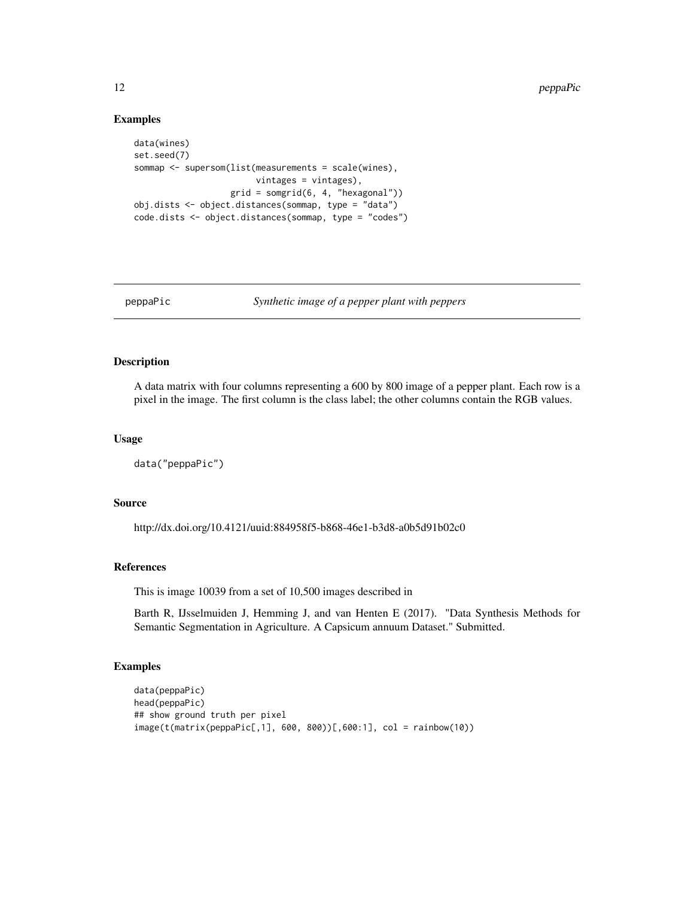# Examples

```
data(wines)
set.seed(7)
sommap <- supersom(list(measurements = scale(wines),
                        vintages = vintages),
                   grid = somgrid(6, 4, "hexagonal"))
obj.dists <- object.distances(sommap, type = "data")
code.dists <- object.distances(sommap, type = "codes")
```
peppaPic *Synthetic image of a pepper plant with peppers*

# Description

A data matrix with four columns representing a 600 by 800 image of a pepper plant. Each row is a pixel in the image. The first column is the class label; the other columns contain the RGB values.

#### Usage

data("peppaPic")

#### Source

http://dx.doi.org/10.4121/uuid:884958f5-b868-46e1-b3d8-a0b5d91b02c0

#### References

This is image 10039 from a set of 10,500 images described in

Barth R, IJsselmuiden J, Hemming J, and van Henten E (2017). "Data Synthesis Methods for Semantic Segmentation in Agriculture. A Capsicum annuum Dataset." Submitted.

```
data(peppaPic)
head(peppaPic)
## show ground truth per pixel
image(t(matrix(peppaPic[,1], 600, 800))[,600:1], col = rainbow(10))
```
<span id="page-11-0"></span>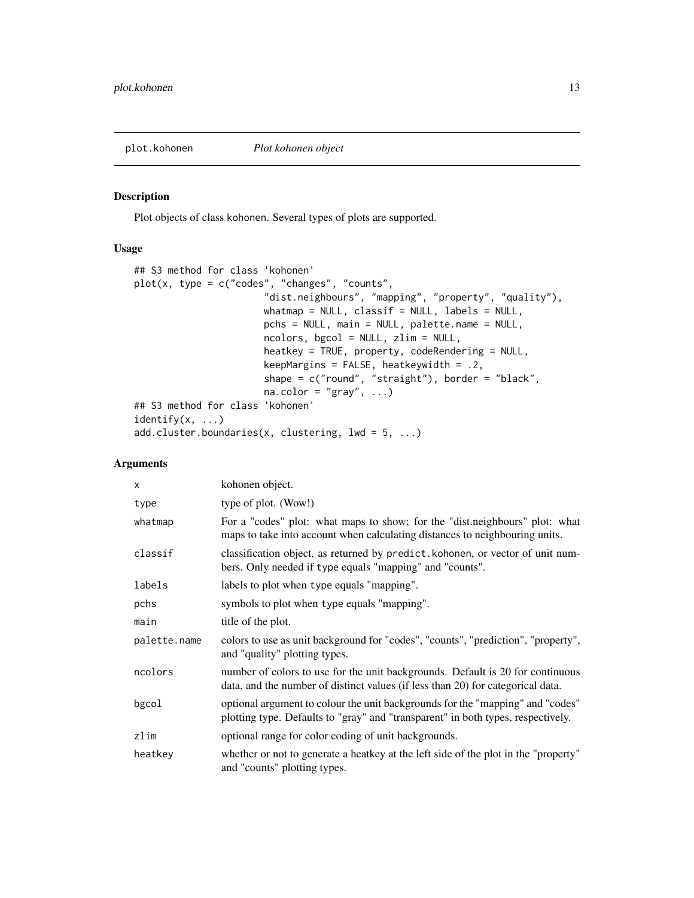<span id="page-12-1"></span><span id="page-12-0"></span>

Plot objects of class kohonen. Several types of plots are supported.

# Usage

```
## S3 method for class 'kohonen'
plot(x, type = c("codes", "changes", "counts","dist.neighbours", "mapping", "property", "quality"),
                       whatmap = NULL, classif = NULL, labels = NULL,
                       pchs = NULL, main = NULL, palette.name = NULL,
                       ncolors, bgcol = NULL, zlim = NULL,
                       heatkey = TRUE, property, codeRendering = NULL,
                       keepMargins = FALSE, heatkeywidth = .2,
                       shape = c("round", "straight"), border = "black",
                       na.color = "gray", ...)## S3 method for class 'kohonen'
identity(x, \ldots)add.cluster.boundaries(x, clustering, lwd = 5, ...)
```
# Arguments

| $\times$     | kohonen object.                                                                                                                                                    |
|--------------|--------------------------------------------------------------------------------------------------------------------------------------------------------------------|
| type         | type of plot. (Wow!)                                                                                                                                               |
| whatmap      | For a "codes" plot: what maps to show; for the "dist.neighbours" plot: what<br>maps to take into account when calculating distances to neighbouring units.         |
| classif      | classification object, as returned by predict. kohonen, or vector of unit num-<br>bers. Only needed if type equals "mapping" and "counts".                         |
| labels       | labels to plot when type equals "mapping".                                                                                                                         |
| pchs         | symbols to plot when type equals "mapping".                                                                                                                        |
| main         | title of the plot.                                                                                                                                                 |
| palette.name | colors to use as unit background for "codes", "counts", "prediction", "property",<br>and "quality" plotting types.                                                 |
| ncolors      | number of colors to use for the unit backgrounds. Default is 20 for continuous<br>data, and the number of distinct values (if less than 20) for categorical data.  |
| bgcol        | optional argument to colour the unit backgrounds for the "mapping" and "codes"<br>plotting type. Defaults to "gray" and "transparent" in both types, respectively. |
| zlim         | optional range for color coding of unit backgrounds.                                                                                                               |
| heatkey      | whether or not to generate a heatkey at the left side of the plot in the "property"<br>and "counts" plotting types.                                                |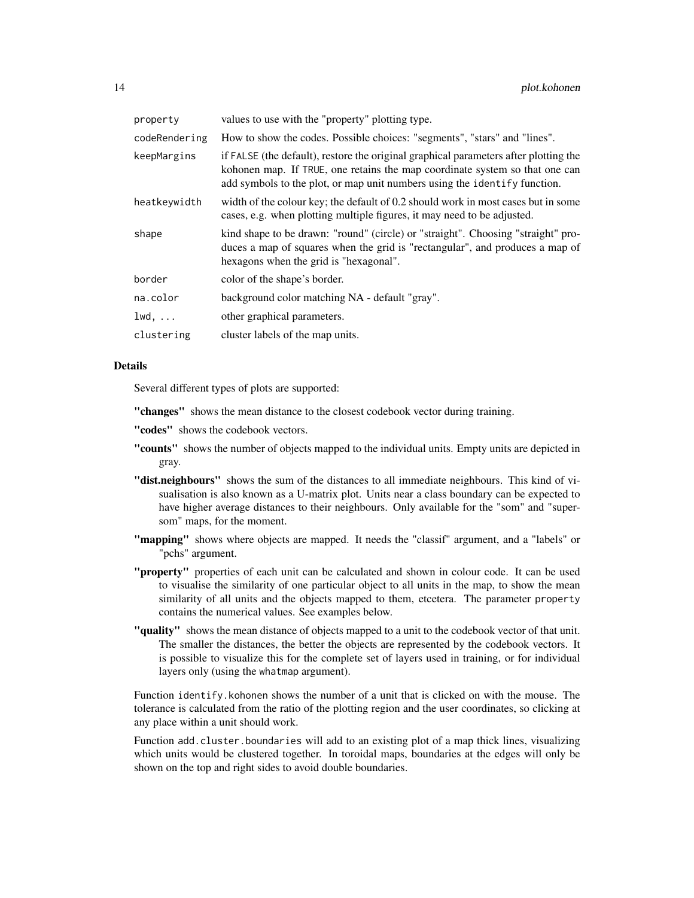| property      | values to use with the "property" plotting type.                                                                                                                                                                                                 |
|---------------|--------------------------------------------------------------------------------------------------------------------------------------------------------------------------------------------------------------------------------------------------|
| codeRendering | How to show the codes. Possible choices: "segments", "stars" and "lines".                                                                                                                                                                        |
| keepMargins   | if FALSE (the default), restore the original graphical parameters after plotting the<br>kohonen map. If TRUE, one retains the map coordinate system so that one can<br>add symbols to the plot, or map unit numbers using the identify function. |
| heatkeywidth  | width of the colour key; the default of 0.2 should work in most cases but in some<br>cases, e.g. when plotting multiple figures, it may need to be adjusted.                                                                                     |
| shape         | kind shape to be drawn: "round" (circle) or "straight". Choosing "straight" pro-<br>duces a map of squares when the grid is "rectangular", and produces a map of<br>hexagons when the grid is "hexagonal".                                       |
| border        | color of the shape's border.                                                                                                                                                                                                                     |
| na.color      | background color matching NA - default "gray".                                                                                                                                                                                                   |
| $1wd, \ldots$ | other graphical parameters.                                                                                                                                                                                                                      |
| clustering    | cluster labels of the map units.                                                                                                                                                                                                                 |

#### Details

Several different types of plots are supported:

"changes" shows the mean distance to the closest codebook vector during training.

- "codes" shows the codebook vectors.
- "counts" shows the number of objects mapped to the individual units. Empty units are depicted in gray.
- "dist.neighbours" shows the sum of the distances to all immediate neighbours. This kind of visualisation is also known as a U-matrix plot. Units near a class boundary can be expected to have higher average distances to their neighbours. Only available for the "som" and "supersom" maps, for the moment.
- "mapping" shows where objects are mapped. It needs the "classif" argument, and a "labels" or "pchs" argument.
- "property" properties of each unit can be calculated and shown in colour code. It can be used to visualise the similarity of one particular object to all units in the map, to show the mean similarity of all units and the objects mapped to them, etcetera. The parameter property contains the numerical values. See examples below.
- "quality" shows the mean distance of objects mapped to a unit to the codebook vector of that unit. The smaller the distances, the better the objects are represented by the codebook vectors. It is possible to visualize this for the complete set of layers used in training, or for individual layers only (using the whatmap argument).

Function identify.kohonen shows the number of a unit that is clicked on with the mouse. The tolerance is calculated from the ratio of the plotting region and the user coordinates, so clicking at any place within a unit should work.

Function add.cluster.boundaries will add to an existing plot of a map thick lines, visualizing which units would be clustered together. In toroidal maps, boundaries at the edges will only be shown on the top and right sides to avoid double boundaries.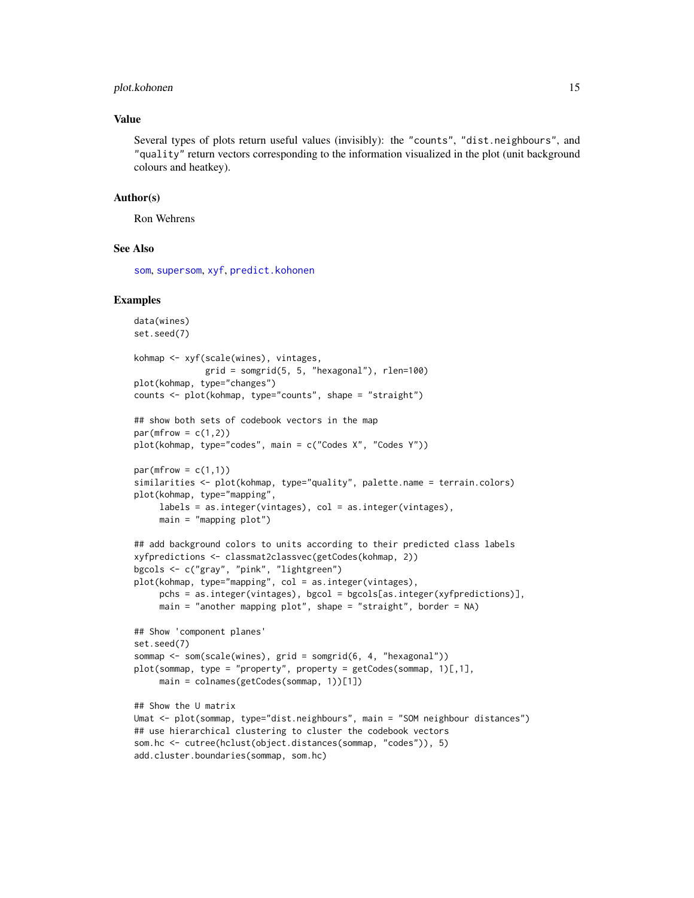#### <span id="page-14-0"></span>plot.kohonen 15

# Value

Several types of plots return useful values (invisibly): the "counts", "dist.neighbours", and "quality" return vectors corresponding to the information visualized in the plot (unit background colours and heatkey).

#### Author(s)

Ron Wehrens

# See Also

[som](#page-19-1), [supersom](#page-19-2), [xyf](#page-19-1), [predict.kohonen](#page-15-1)

```
data(wines)
set.seed(7)
kohmap <- xyf(scale(wines), vintages,
             grid = somgrid(5, 5, "hexagonal"), rlen=100)
plot(kohmap, type="changes")
counts <- plot(kohmap, type="counts", shape = "straight")
## show both sets of codebook vectors in the map
par(mfrow = c(1,2))plot(kohmap, type="codes", main = c("Codes X", "Codes Y"))
par(mfrow = c(1,1))similarities <- plot(kohmap, type="quality", palette.name = terrain.colors)
plot(kohmap, type="mapping",
     labels = as.integer(vintages), col = as.integer(vintages),
     main = "mapping plot")
## add background colors to units according to their predicted class labels
xyfpredictions <- classmat2classvec(getCodes(kohmap, 2))
bgcols <- c("gray", "pink", "lightgreen")
plot(kohmap, type="mapping", col = as.integer(vintages),
     pchs = as.integer(vintages), bgcol = bgcols[as.integer(xyfpredictions)],
     main = "another mapping plot", shape = "straight", border = NA)
## Show 'component planes'
set.seed(7)
sommap <- som(scale(wines), grid = somgrid(6, 4, "hexagonal"))
plot(sommap, type = "property", property = getCodes(sommap, 1)[,1],main = colnames(getCodes(sommap, 1))[1])
## Show the U matrix
Umat <- plot(sommap, type="dist.neighbours", main = "SOM neighbour distances")
## use hierarchical clustering to cluster the codebook vectors
som.hc <- cutree(hclust(object.distances(sommap, "codes")), 5)
add.cluster.boundaries(sommap, som.hc)
```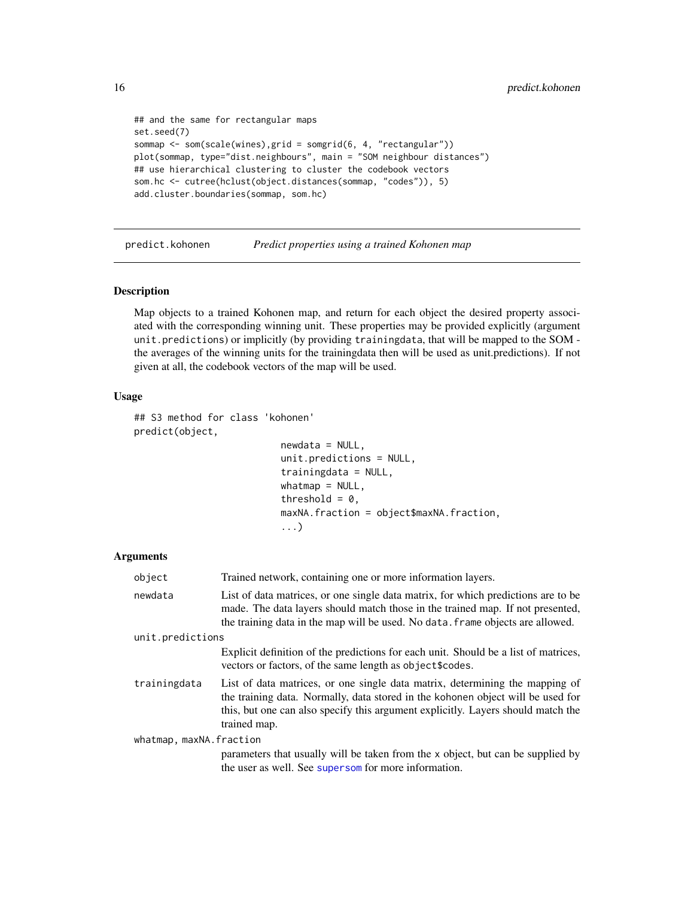```
## and the same for rectangular maps
set.seed(7)
sommap <- som(scale(wines),grid = somgrid(6, 4, "rectangular"))
plot(sommap, type="dist.neighbours", main = "SOM neighbour distances")
## use hierarchical clustering to cluster the codebook vectors
som.hc <- cutree(hclust(object.distances(sommap, "codes")), 5)
add.cluster.boundaries(sommap, som.hc)
```
<span id="page-15-1"></span>predict.kohonen *Predict properties using a trained Kohonen map*

#### Description

Map objects to a trained Kohonen map, and return for each object the desired property associated with the corresponding winning unit. These properties may be provided explicitly (argument unit.predictions) or implicitly (by providing trainingdata, that will be mapped to the SOM the averages of the winning units for the trainingdata then will be used as unit.predictions). If not given at all, the codebook vectors of the map will be used.

# Usage

```
## S3 method for class 'kohonen'
predict(object,
                          newdata = NULL,unit.predictions = NULL,
                          trainingdata = NULL,
                          whatmap = NULL,threshold = 0,
                          maxNA.fraction = object$maxNA.fraction,
                          ...)
```
#### **Arguments**

| object                  | Trained network, containing one or more information layers.                                                                                                                                                                                                         |
|-------------------------|---------------------------------------------------------------------------------------------------------------------------------------------------------------------------------------------------------------------------------------------------------------------|
| newdata                 | List of data matrices, or one single data matrix, for which predictions are to be<br>made. The data layers should match those in the trained map. If not presented,<br>the training data in the map will be used. No data. frame objects are allowed.               |
| unit.predictions        |                                                                                                                                                                                                                                                                     |
|                         | Explicit definition of the predictions for each unit. Should be a list of matrices,<br>vectors or factors, of the same length as object \$codes.                                                                                                                    |
| trainingdata            | List of data matrices, or one single data matrix, determining the mapping of<br>the training data. Normally, data stored in the kohonen object will be used for<br>this, but one can also specify this argument explicitly. Layers should match the<br>trained map. |
| whatmap, maxNA.fraction |                                                                                                                                                                                                                                                                     |
|                         | parameters that usually will be taken from the x object, but can be supplied by<br>the user as well. See supersom for more information.                                                                                                                             |

<span id="page-15-0"></span>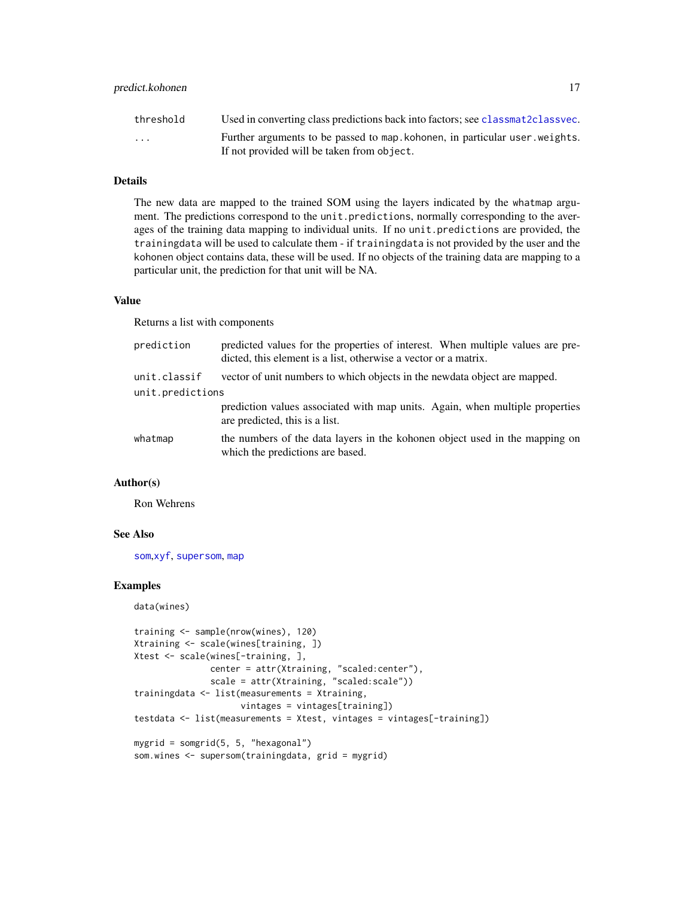# <span id="page-16-0"></span>predict.kohonen 17

| threshold               | Used in converting class predictions back into factors; see classmat2classvec.                                             |
|-------------------------|----------------------------------------------------------------------------------------------------------------------------|
| $\cdot$ $\cdot$ $\cdot$ | Further arguments to be passed to map, kohonen, in particular user, weights.<br>If not provided will be taken from object. |

# Details

The new data are mapped to the trained SOM using the layers indicated by the whatmap argument. The predictions correspond to the unit.predictions, normally corresponding to the averages of the training data mapping to individual units. If no unit.predictions are provided, the trainingdata will be used to calculate them - if trainingdata is not provided by the user and the kohonen object contains data, these will be used. If no objects of the training data are mapping to a particular unit, the prediction for that unit will be NA.

# Value

Returns a list with components

| prediction       | predicted values for the properties of interest. When multiple values are pre-<br>dicted, this element is a list, otherwise a vector or a matrix. |
|------------------|---------------------------------------------------------------------------------------------------------------------------------------------------|
| unit.classif     | vector of unit numbers to which objects in the newdata object are mapped.                                                                         |
| unit.predictions |                                                                                                                                                   |
|                  | prediction values associated with map units. Again, when multiple properties<br>are predicted, this is a list.                                    |
| whatmap          | the numbers of the data layers in the kohonen object used in the mapping on<br>which the predictions are based.                                   |

# Author(s)

Ron Wehrens

#### See Also

[som](#page-19-1),[xyf](#page-19-1), [supersom](#page-19-2), [map](#page-7-1)

```
data(wines)
```

```
training <- sample(nrow(wines), 120)
Xtraining <- scale(wines[training, ])
Xtest <- scale(wines[-training, ],
               center = attr(Xtraining, "scaled:center"),
               scale = attr(Xtraining, "scaled:scale"))
trainingdata <- list(measurements = Xtraining,
                     vintages = vintages[training])
testdata <- list(measurements = Xtest, vintages = vintages[-training])
mygrid = somgrid(5, 5, "hexagonal")
som.wines <- supersom(trainingdata, grid = mygrid)
```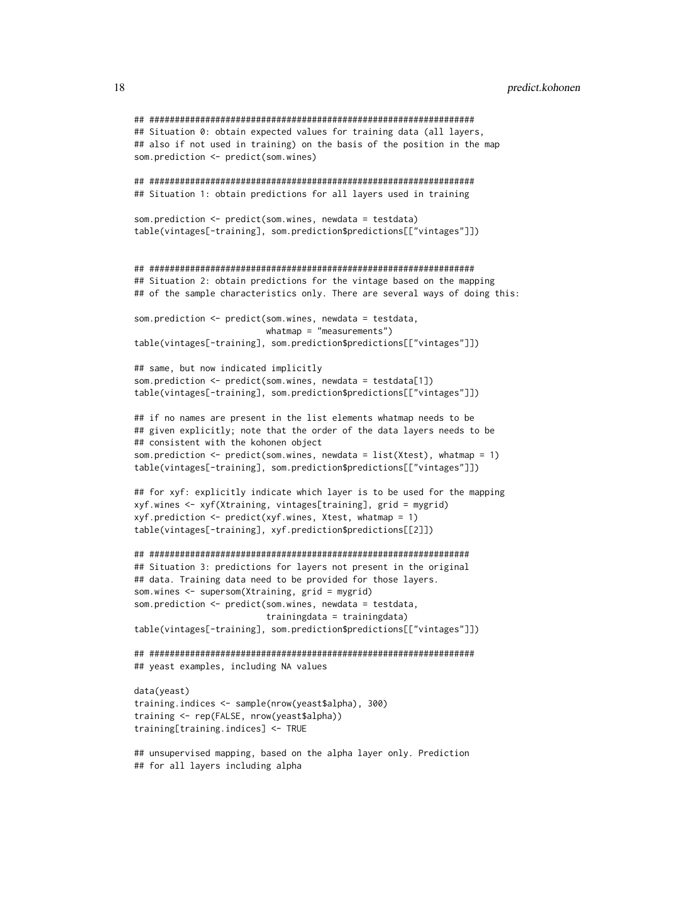```
## ################################################################
## Situation 0: obtain expected values for training data (all layers,
## also if not used in training) on the basis of the position in the map
som.prediction <- predict(som.wines)
## ################################################################
## Situation 1: obtain predictions for all layers used in training
som.prediction <- predict(som.wines, newdata = testdata)
table(vintages[-training], som.prediction$predictions[["vintages"]])
## ################################################################
## Situation 2: obtain predictions for the vintage based on the mapping
## of the sample characteristics only. There are several ways of doing this:
som.prediction <- predict(som.wines, newdata = testdata,
                          whatmap = "measurements")
table(vintages[-training], som.prediction$predictions[["vintages"]])
## same, but now indicated implicitly
som.prediction <- predict(som.wines, newdata = testdata[1])
table(vintages[-training], som.prediction$predictions[["vintages"]])
## if no names are present in the list elements whatmap needs to be
## given explicitly; note that the order of the data layers needs to be
## consistent with the kohonen object
som.prediction <- predict(som.wines, newdata = list(Xtest), whatmap = 1)
table(vintages[-training], som.prediction$predictions[["vintages"]])
## for xyf: explicitly indicate which layer is to be used for the mapping
xyf.wines <- xyf(Xtraining, vintages[training], grid = mygrid)
xyf.prediction <- predict(xyf.wines, Xtest, whatmap = 1)
table(vintages[-training], xyf.prediction$predictions[[2]])
## ###############################################################
## Situation 3: predictions for layers not present in the original
## data. Training data need to be provided for those layers.
som.wines <- supersom(Xtraining, grid = mygrid)
som.prediction <- predict(som.wines, newdata = testdata,
                          trainingdata = trainingdata)
table(vintages[-training], som.prediction$predictions[["vintages"]])
## ################################################################
## yeast examples, including NA values
data(yeast)
training.indices <- sample(nrow(yeast$alpha), 300)
training <- rep(FALSE, nrow(yeast$alpha))
training[training.indices] <- TRUE
```
## unsupervised mapping, based on the alpha layer only. Prediction ## for all layers including alpha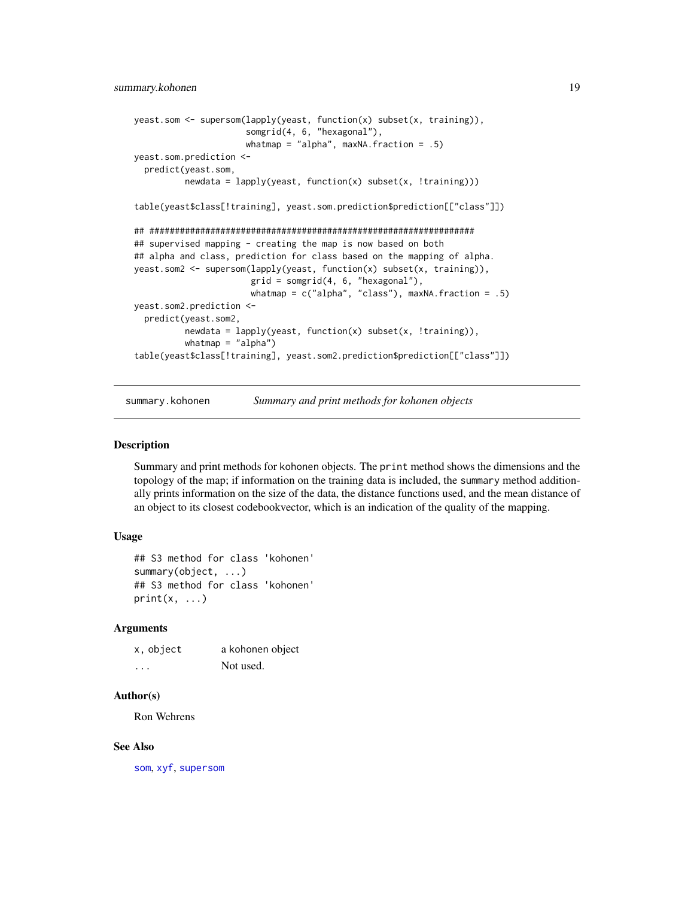```
yeast.som <- supersom(lapply(yeast, function(x) subset(x, training)),
                      somgrid(4, 6, "hexagonal"),
                      whatmap = "alpha", maxNA.fraction = .5)yeast.som.prediction <-
 predict(yeast.som,
         newdata = lapply(yeast, function(x) subset(x, !training)))
table(yeast$class[!training], yeast.som.prediction$prediction[["class"]])
## ################################################################
## supervised mapping - creating the map is now based on both
## alpha and class, prediction for class based on the mapping of alpha.
yeast.som2 <- supersom(lapply(yeast, function(x) subset(x, training)),
                       grid = somgrid(4, 6, "hexagonal"),
                       whatmap = c("alpha", "class"), maxNA.fraction = .5)
yeast.som2.prediction <-
 predict(yeast.som2,
         newdata = lapply(yeast, function(x) subset(x, !training)),
         whatmap = "alpha")
table(yeast$class[!training], yeast.som2.prediction$prediction[["class"]])
```
summary.kohonen *Summary and print methods for kohonen objects*

#### **Description**

Summary and print methods for kohonen objects. The print method shows the dimensions and the topology of the map; if information on the training data is included, the summary method additionally prints information on the size of the data, the distance functions used, and the mean distance of an object to its closest codebookvector, which is an indication of the quality of the mapping.

# Usage

```
## S3 method for class 'kohonen'
summary(object, ...)
## S3 method for class 'kohonen'
print(x, \ldots)
```
# Arguments

| x, object | a kohonen object |
|-----------|------------------|
| .         | Not used.        |

#### Author(s)

Ron Wehrens

#### See Also

[som](#page-19-1), [xyf](#page-19-1), [supersom](#page-19-2)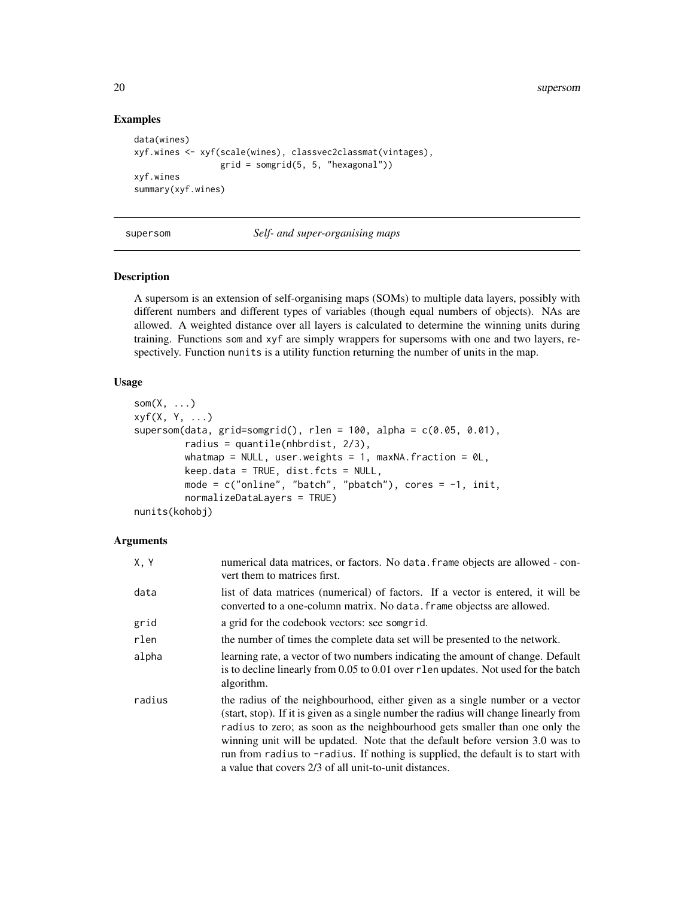20 supersom

# Examples

```
data(wines)
xyf.wines <- xyf(scale(wines), classvec2classmat(vintages),
                 grid = somgrid(5, 5, "hexagonal"))xyf.wines
summary(xyf.wines)
```
# supersom *Self- and super-organising maps*

# <span id="page-19-1"></span>Description

A supersom is an extension of self-organising maps (SOMs) to multiple data layers, possibly with different numbers and different types of variables (though equal numbers of objects). NAs are allowed. A weighted distance over all layers is calculated to determine the winning units during training. Functions som and xyf are simply wrappers for supersoms with one and two layers, respectively. Function nunits is a utility function returning the number of units in the map.

# Usage

```
som(X, \ldots)xyf(X, Y, ...)
supersom(data, grid=somgrid(), rlen = 100, alpha = c(0.05, 0.01),radius = quantile(nhbrdist, 2/3),
         whatmap = NULL, user.weights = 1, maxNA.fraction = \thetaL,
         keep.data = TRUE, dist.fcts = NULL,
         mode = c("online", "batch", "pbatch"), cores = -1, init,
         normalizeDataLayers = TRUE)
nunits(kohobj)
```
# **Arguments**

| X, Y   | numerical data matrices, or factors. No data. frame objects are allowed - con-<br>vert them to matrices first.                                                                                                                                                                                                                                                                                                                                                                      |
|--------|-------------------------------------------------------------------------------------------------------------------------------------------------------------------------------------------------------------------------------------------------------------------------------------------------------------------------------------------------------------------------------------------------------------------------------------------------------------------------------------|
| data   | list of data matrices (numerical) of factors. If a vector is entered, it will be<br>converted to a one-column matrix. No data, frame objects are allowed.                                                                                                                                                                                                                                                                                                                           |
| grid   | a grid for the codebook vectors: see somgrid.                                                                                                                                                                                                                                                                                                                                                                                                                                       |
| rlen   | the number of times the complete data set will be presented to the network.                                                                                                                                                                                                                                                                                                                                                                                                         |
| alpha  | learning rate, a vector of two numbers indicating the amount of change. Default<br>is to decline linearly from 0.05 to 0.01 over r len updates. Not used for the batch<br>algorithm.                                                                                                                                                                                                                                                                                                |
| radius | the radius of the neighbourhood, either given as a single number or a vector<br>(start, stop). If it is given as a single number the radius will change linearly from<br>radius to zero; as soon as the neighbourhood gets smaller than one only the<br>winning unit will be updated. Note that the default before version 3.0 was to<br>run from radius to -radius. If nothing is supplied, the default is to start with<br>a value that covers 2/3 of all unit-to-unit distances. |

<span id="page-19-0"></span>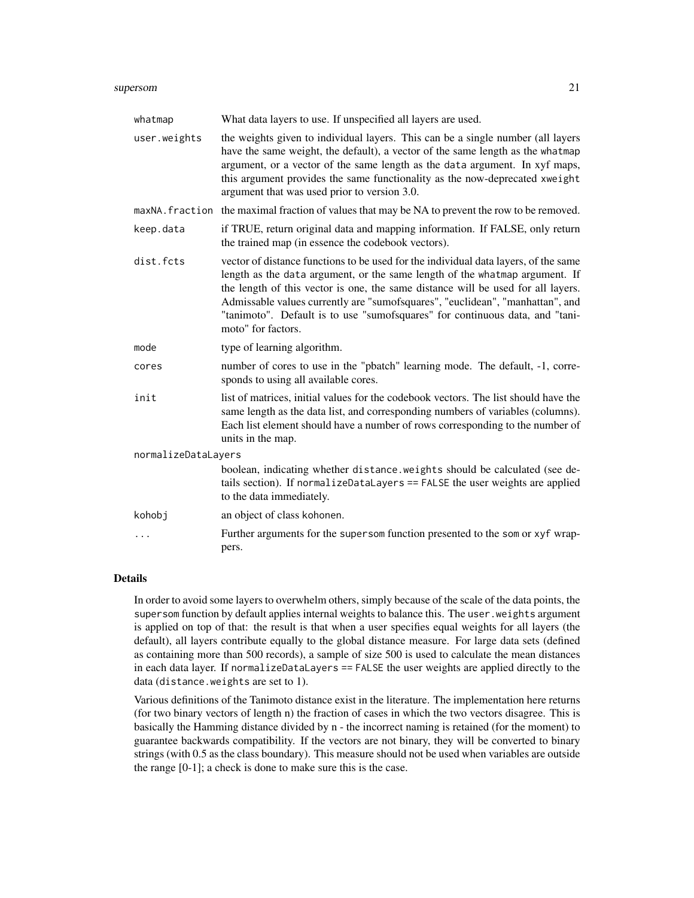#### supersom 21

| whatmap             | What data layers to use. If unspecified all layers are used.                                                                                                                                                                                                                                                                                                                                                                                  |
|---------------------|-----------------------------------------------------------------------------------------------------------------------------------------------------------------------------------------------------------------------------------------------------------------------------------------------------------------------------------------------------------------------------------------------------------------------------------------------|
| user.weights        | the weights given to individual layers. This can be a single number (all layers<br>have the same weight, the default), a vector of the same length as the whatmap<br>argument, or a vector of the same length as the data argument. In xyf maps,<br>this argument provides the same functionality as the now-deprecated xweight<br>argument that was used prior to version 3.0.                                                               |
|                     | maxNA. fraction the maximal fraction of values that may be NA to prevent the row to be removed.                                                                                                                                                                                                                                                                                                                                               |
| keep.data           | if TRUE, return original data and mapping information. If FALSE, only return<br>the trained map (in essence the codebook vectors).                                                                                                                                                                                                                                                                                                            |
| dist.fcts           | vector of distance functions to be used for the individual data layers, of the same<br>length as the data argument, or the same length of the whatmap argument. If<br>the length of this vector is one, the same distance will be used for all layers.<br>Admissable values currently are "sumofsquares", "euclidean", "manhattan", and<br>"tanimoto". Default is to use "sumofsquares" for continuous data, and "tani-<br>moto" for factors. |
| mode                | type of learning algorithm.                                                                                                                                                                                                                                                                                                                                                                                                                   |
| cores               | number of cores to use in the "pbatch" learning mode. The default, -1, corre-<br>sponds to using all available cores.                                                                                                                                                                                                                                                                                                                         |
| init                | list of matrices, initial values for the codebook vectors. The list should have the<br>same length as the data list, and corresponding numbers of variables (columns).<br>Each list element should have a number of rows corresponding to the number of<br>units in the map.                                                                                                                                                                  |
| normalizeDataLayers |                                                                                                                                                                                                                                                                                                                                                                                                                                               |
|                     | boolean, indicating whether distance. weights should be calculated (see de-<br>tails section). If normalizeDataLayers == FALSE the user weights are applied<br>to the data immediately.                                                                                                                                                                                                                                                       |
| kohobj              | an object of class kohonen.                                                                                                                                                                                                                                                                                                                                                                                                                   |
| .                   | Further arguments for the supersom function presented to the som or xyf wrap-<br>pers.                                                                                                                                                                                                                                                                                                                                                        |

# Details

In order to avoid some layers to overwhelm others, simply because of the scale of the data points, the supersom function by default applies internal weights to balance this. The user weights argument is applied on top of that: the result is that when a user specifies equal weights for all layers (the default), all layers contribute equally to the global distance measure. For large data sets (defined as containing more than 500 records), a sample of size 500 is used to calculate the mean distances in each data layer. If normalizeDataLayers == FALSE the user weights are applied directly to the data (distance.weights are set to 1).

Various definitions of the Tanimoto distance exist in the literature. The implementation here returns (for two binary vectors of length n) the fraction of cases in which the two vectors disagree. This is basically the Hamming distance divided by n - the incorrect naming is retained (for the moment) to guarantee backwards compatibility. If the vectors are not binary, they will be converted to binary strings (with 0.5 as the class boundary). This measure should not be used when variables are outside the range [0-1]; a check is done to make sure this is the case.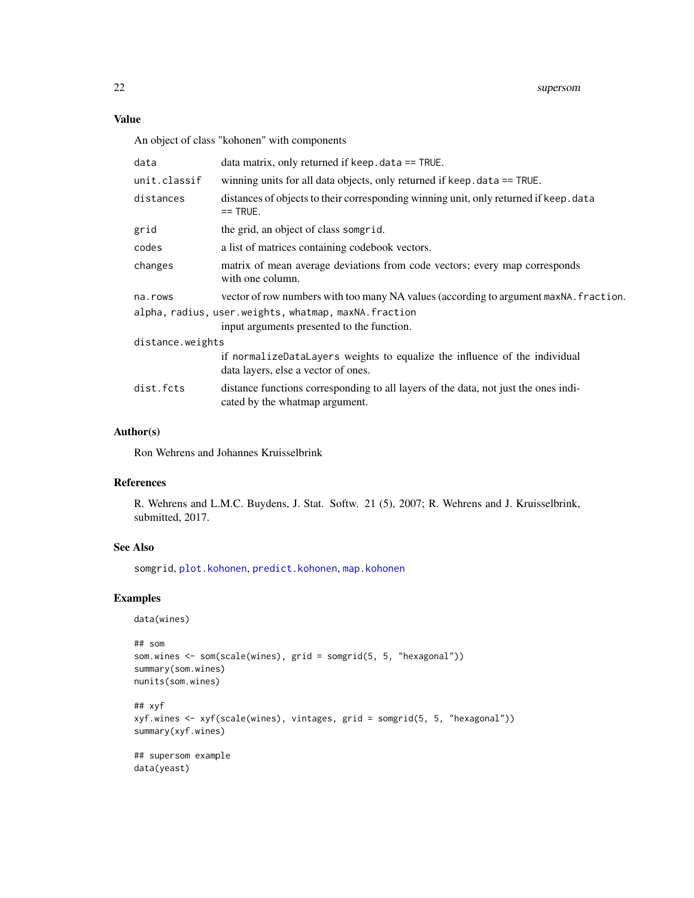# <span id="page-21-0"></span>Value

An object of class "kohonen" with components

| data                                                 | data matrix, only returned if keep. $data == TRUE$ .                                                                  |
|------------------------------------------------------|-----------------------------------------------------------------------------------------------------------------------|
| unit.classif                                         | winning units for all data objects, only returned if keep. data == TRUE.                                              |
| distances                                            | distances of objects to their corresponding winning unit, only returned if keep. data<br>$==$ TRUE.                   |
| grid                                                 | the grid, an object of class somgrid.                                                                                 |
| codes                                                | a list of matrices containing codebook vectors.                                                                       |
| changes                                              | matrix of mean average deviations from code vectors; every map corresponds<br>with one column.                        |
| na.rows                                              | vector of row numbers with too many NA values (according to argument maxNA. fraction.                                 |
| alpha, radius, user.weights, whatmap, maxNA.fraction |                                                                                                                       |
|                                                      | input arguments presented to the function.                                                                            |
| distance.weights                                     |                                                                                                                       |
|                                                      | if normalizeDataLayers weights to equalize the influence of the individual<br>data layers, else a vector of ones.     |
| dist.fcts                                            | distance functions corresponding to all layers of the data, not just the ones indi-<br>cated by the whatmap argument. |
|                                                      |                                                                                                                       |

# Author(s)

Ron Wehrens and Johannes Kruisselbrink

# References

R. Wehrens and L.M.C. Buydens, J. Stat. Softw. 21 (5), 2007; R. Wehrens and J. Kruisselbrink, submitted, 2017.

#### See Also

somgrid, [plot.kohonen](#page-12-1), [predict.kohonen](#page-15-1), [map.kohonen](#page-7-2)

# Examples

data(wines)

```
## som
som.wines <- som(scale(wines), grid = somgrid(5, 5, "hexagonal"))
summary(som.wines)
nunits(som.wines)
## xyf
xyf.wines <- xyf(scale(wines), vintages, grid = somgrid(5, 5, "hexagonal"))
summary(xyf.wines)
## supersom example
data(yeast)
```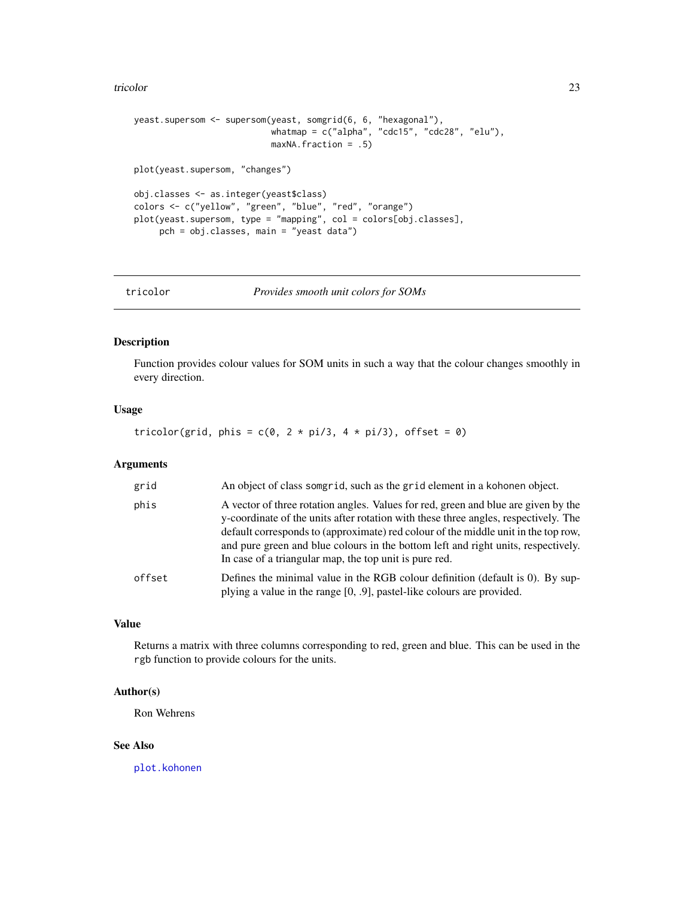#### <span id="page-22-0"></span>tricolor 23

```
yeast.supersom <- supersom(yeast, somgrid(6, 6, "hexagonal"),
                           whatmap = c("alpha", "cdc15", "cdc28", "elu"),
                           maxNA.fraction = .5)
plot(yeast.supersom, "changes")
obj.classes <- as.integer(yeast$class)
colors <- c("yellow", "green", "blue", "red", "orange")
plot(yeast.supersom, type = "mapping", col = colors[obj.classes],
     pch = obj.classes, main = "yeast data")
```
tricolor *Provides smooth unit colors for SOMs*

# Description

Function provides colour values for SOM units in such a way that the colour changes smoothly in every direction.

## Usage

tricolor(grid, phis =  $c(0, 2 * pi/3, 4 * pi/3)$ , offset = 0)

#### Arguments

| grid   | An object of class somgrid, such as the grid element in a kohonen object.                                                                                                                                                                                                                                                                                                                                      |
|--------|----------------------------------------------------------------------------------------------------------------------------------------------------------------------------------------------------------------------------------------------------------------------------------------------------------------------------------------------------------------------------------------------------------------|
| phis   | A vector of three rotation angles. Values for red, green and blue are given by the<br>y-coordinate of the units after rotation with these three angles, respectively. The<br>default corresponds to (approximate) red colour of the middle unit in the top row,<br>and pure green and blue colours in the bottom left and right units, respectively.<br>In case of a triangular map, the top unit is pure red. |
| offset | Defines the minimal value in the RGB colour definition (default is $0$ ). By sup-<br>plying a value in the range $[0, .9]$ , pastel-like colours are provided.                                                                                                                                                                                                                                                 |

# Value

Returns a matrix with three columns corresponding to red, green and blue. This can be used in the rgb function to provide colours for the units.

# Author(s)

Ron Wehrens

#### See Also

[plot.kohonen](#page-12-1)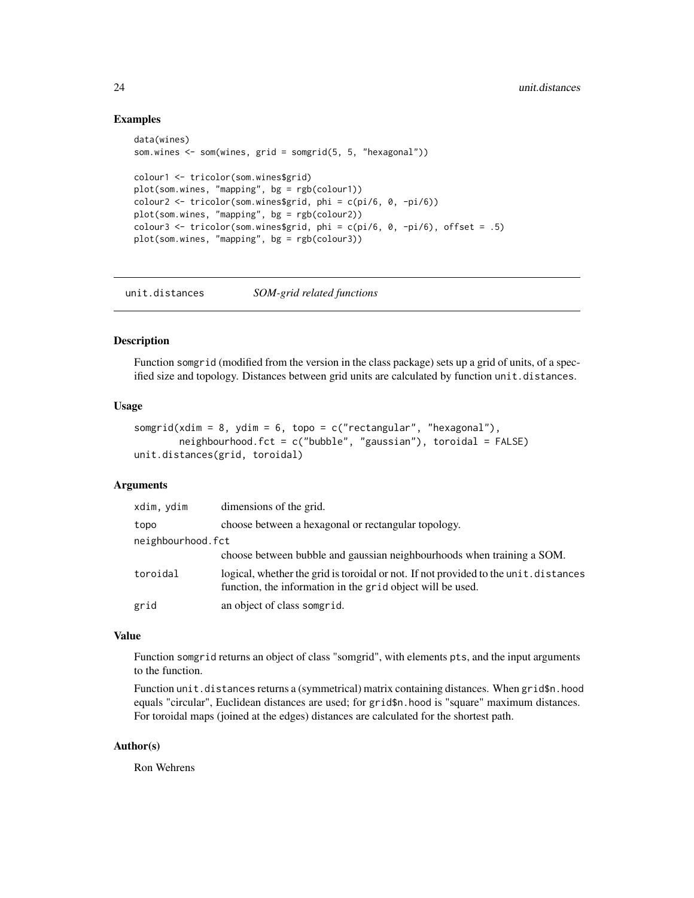# Examples

```
data(wines)
som.wines <- som(wines, grid = somgrid(5, 5, "hexagonal"))
colour1 <- tricolor(som.wines$grid)
plot(som.wines, "mapping", bg = rgb(colour1))
colour2 <- tricolor(som.wines$grid, phi = c(pi/6, 0, -pi/6))
plot(som.wines, "mapping", bg = rgb(colour2))
colour3 \le tricolor(som.wines$grid, phi = c(pi/6, 0, -pi/6), offset = .5)
plot(som.wines, "mapping", bg = rgb(colour3))
```
<span id="page-23-1"></span>unit.distances *SOM-grid related functions*

#### Description

Function somgrid (modified from the version in the class package) sets up a grid of units, of a specified size and topology. Distances between grid units are calculated by function unit.distances.

# Usage

```
somgrid(xdim = 8, ydim = 6, topo = c("rectangular", "hexagonal"),neighbourhood.fct = c("bubble", "gaussian"), toroidal = FALSE)
unit.distances(grid, toroidal)
```
# Arguments

| xdim, ydim        | dimensions of the grid.                                                                                                                            |
|-------------------|----------------------------------------------------------------------------------------------------------------------------------------------------|
| topo              | choose between a hexagonal or rectangular topology.                                                                                                |
| neighbourhood.fct |                                                                                                                                                    |
|                   | choose between bubble and gaussian neighbourhoods when training a SOM.                                                                             |
| toroidal          | logical, whether the grid is toroidal or not. If not provided to the unit. distances<br>function, the information in the grid object will be used. |
| grid              | an object of class somgrid.                                                                                                                        |

# Value

Function somgrid returns an object of class "somgrid", with elements pts, and the input arguments to the function.

Function unit.distances returns a (symmetrical) matrix containing distances. When grid\$n.hood equals "circular", Euclidean distances are used; for grid\$n.hood is "square" maximum distances. For toroidal maps (joined at the edges) distances are calculated for the shortest path.

## Author(s)

Ron Wehrens

<span id="page-23-0"></span>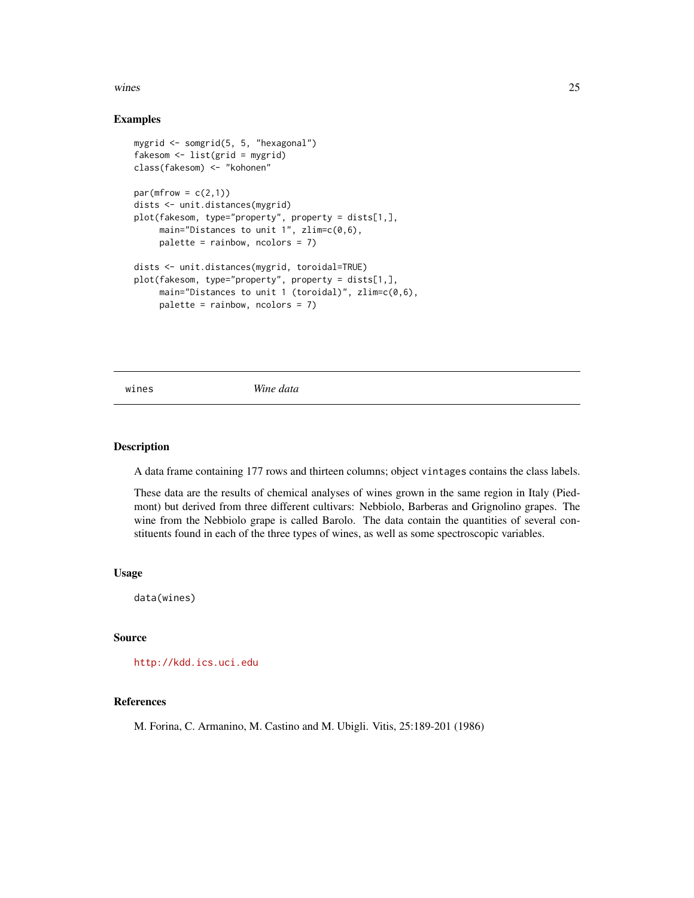#### <span id="page-24-0"></span>wines 25

# Examples

```
mygrid <- somgrid(5, 5, "hexagonal")
fakesom <- list(grid = mygrid)
class(fakesom) <- "kohonen"
par(mfrow = c(2,1))dists <- unit.distances(mygrid)
plot(fakesom, type="property", property = dists[1,],
     main="Distances to unit 1", zlim=c(0,6),
     palette = rainbow, ncolors = 7)
dists <- unit.distances(mygrid, toroidal=TRUE)
plot(fakesom, type="property", property = dists[1,],
     main="Distances to unit 1 (toroidal)", zlim=c(0,6),
     palette = rainbow, ncolors = 7)
```
wines *Wine data*

#### Description

A data frame containing 177 rows and thirteen columns; object vintages contains the class labels.

These data are the results of chemical analyses of wines grown in the same region in Italy (Piedmont) but derived from three different cultivars: Nebbiolo, Barberas and Grignolino grapes. The wine from the Nebbiolo grape is called Barolo. The data contain the quantities of several constituents found in each of the three types of wines, as well as some spectroscopic variables.

#### Usage

data(wines)

# Source

<http://kdd.ics.uci.edu>

# References

M. Forina, C. Armanino, M. Castino and M. Ubigli. Vitis, 25:189-201 (1986)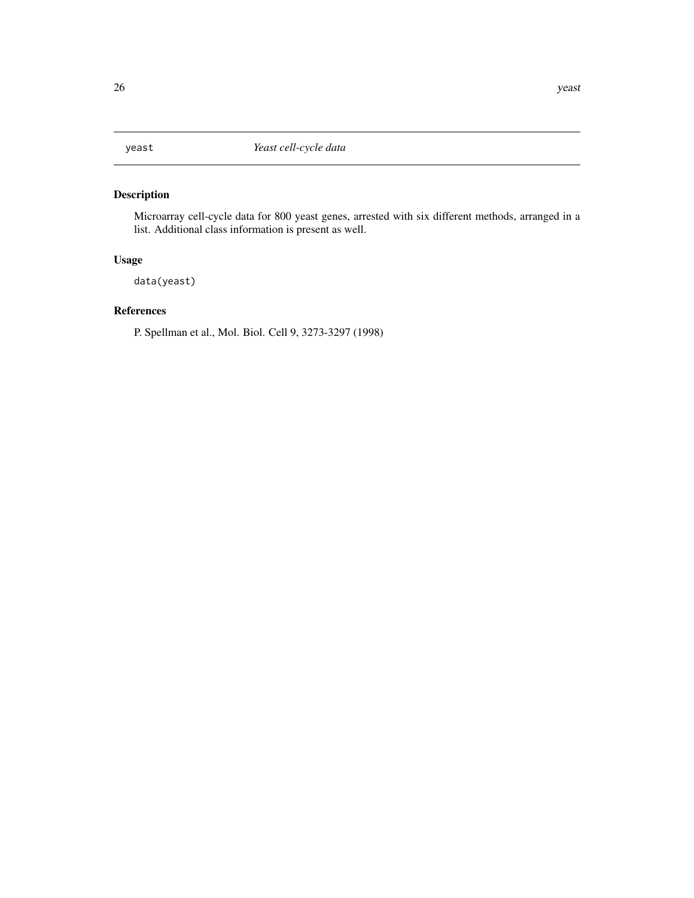<span id="page-25-0"></span>

Microarray cell-cycle data for 800 yeast genes, arrested with six different methods, arranged in a list. Additional class information is present as well.

# Usage

data(yeast)

# References

P. Spellman et al., Mol. Biol. Cell 9, 3273-3297 (1998)